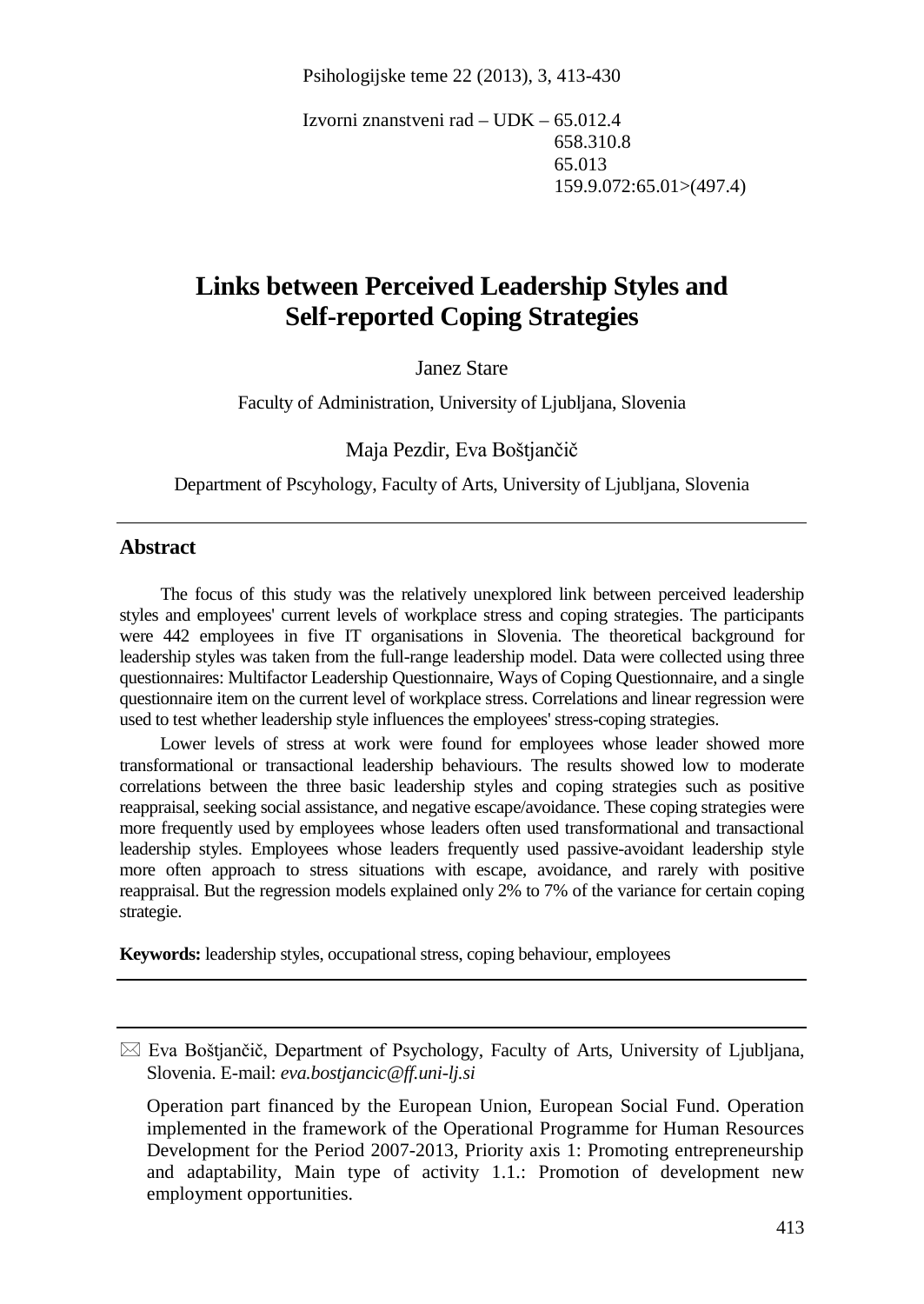Psihologijske teme 22 (2013), 3, 413-430

Izvorni znanstveni rad – UDK – 65.012.4 658.310.8 65.013 159.9.072:65.01>(497.4)

# **Links between Perceived Leadership Styles and Self-reported Coping Strategies**

Janez Stare

Faculty of Administration, University of Ljubljana, Slovenia

Maja Pezdir, Eva Boštjančič

Department of Pscyhology, Faculty of Arts, University of Ljubljana, Slovenia

#### **Abstract**

The focus of this study was the relatively unexplored link between perceived leadership styles and employees' current levels of workplace stress and coping strategies. The participants were 442 employees in five IT organisations in Slovenia. The theoretical background for leadership styles was taken from the full-range leadership model. Data were collected using three questionnaires: Multifactor Leadership Questionnaire, Ways of Coping Questionnaire, and a single questionnaire item on the current level of workplace stress. Correlations and linear regression were used to test whether leadership style influences the employees' stress-coping strategies.

Lower levels of stress at work were found for employees whose leader showed more transformational or transactional leadership behaviours. The results showed low to moderate correlations between the three basic leadership styles and coping strategies such as positive reappraisal, seeking social assistance, and negative escape/avoidance. These coping strategies were more frequently used by employees whose leaders often used transformational and transactional leadership styles. Employees whose leaders frequently used passive-avoidant leadership style more often approach to stress situations with escape, avoidance, and rarely with positive reappraisal. But the regression models explained only 2% to 7% of the variance for certain coping strategie.

**Keywords:** leadership styles, occupational stress, coping behaviour, employees

 $\boxtimes$  Eva Boštjančič, Department of Psychology, Faculty of Arts, University of Ljubljana, Slovenia. E-mail: *eva.bostjancic@ff.uni-lj.si*

Operation part financed by the European Union, European Social Fund. Operation implemented in the framework of the Operational Programme for Human Resources Development for the Period 2007-2013, Priority axis 1: Promoting entrepreneurship and adaptability, Main type of activity 1.1.: Promotion of development new employment opportunities.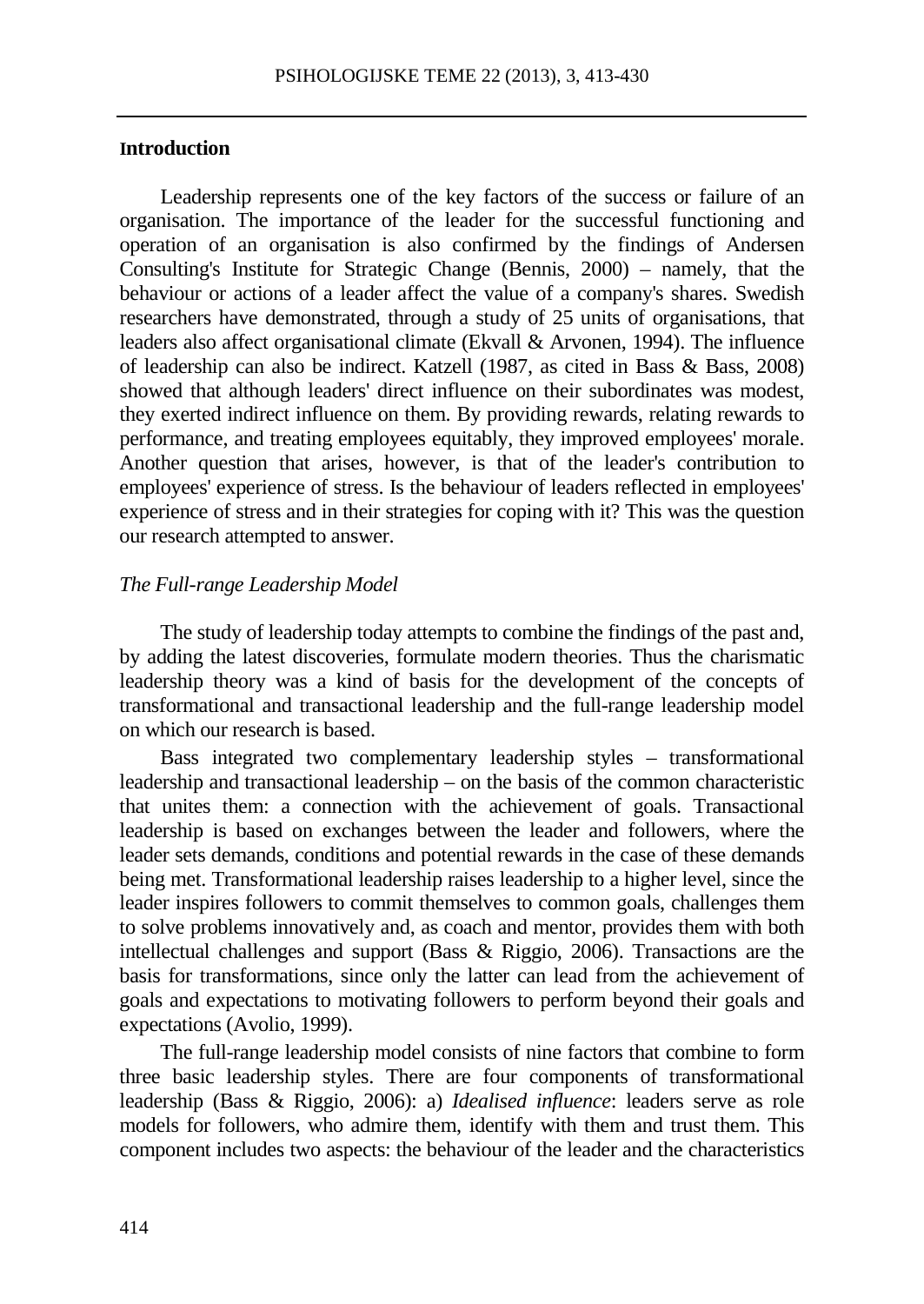#### **Introduction**

Leadership represents one of the key factors of the success or failure of an organisation. The importance of the leader for the successful functioning and operation of an organisation is also confirmed by the findings of Andersen Consulting's Institute for Strategic Change (Bennis, 2000) – namely, that the behaviour or actions of a leader affect the value of a company's shares. Swedish researchers have demonstrated, through a study of 25 units of organisations, that leaders also affect organisational climate (Ekvall & Arvonen, 1994). The influence of leadership can also be indirect. Katzell (1987, as cited in Bass & Bass, 2008) showed that although leaders' direct influence on their subordinates was modest, they exerted indirect influence on them. By providing rewards, relating rewards to performance, and treating employees equitably, they improved employees' morale. Another question that arises, however, is that of the leader's contribution to employees' experience of stress. Is the behaviour of leaders reflected in employees' experience of stress and in their strategies for coping with it? This was the question our research attempted to answer.

#### *The Full-range Leadership Model*

The study of leadership today attempts to combine the findings of the past and, by adding the latest discoveries, formulate modern theories. Thus the charismatic leadership theory was a kind of basis for the development of the concepts of transformational and transactional leadership and the full-range leadership model on which our research is based.

Bass integrated two complementary leadership styles – transformational leadership and transactional leadership – on the basis of the common characteristic that unites them: a connection with the achievement of goals. Transactional leadership is based on exchanges between the leader and followers, where the leader sets demands, conditions and potential rewards in the case of these demands being met. Transformational leadership raises leadership to a higher level, since the leader inspires followers to commit themselves to common goals, challenges them to solve problems innovatively and, as coach and mentor, provides them with both intellectual challenges and support (Bass & Riggio, 2006). Transactions are the basis for transformations, since only the latter can lead from the achievement of goals and expectations to motivating followers to perform beyond their goals and expectations (Avolio, 1999).

The full-range leadership model consists of nine factors that combine to form three basic leadership styles. There are four components of transformational leadership (Bass & Riggio, 2006): a) *Idealised influence*: leaders serve as role models for followers, who admire them, identify with them and trust them. This component includes two aspects: the behaviour of the leader and the characteristics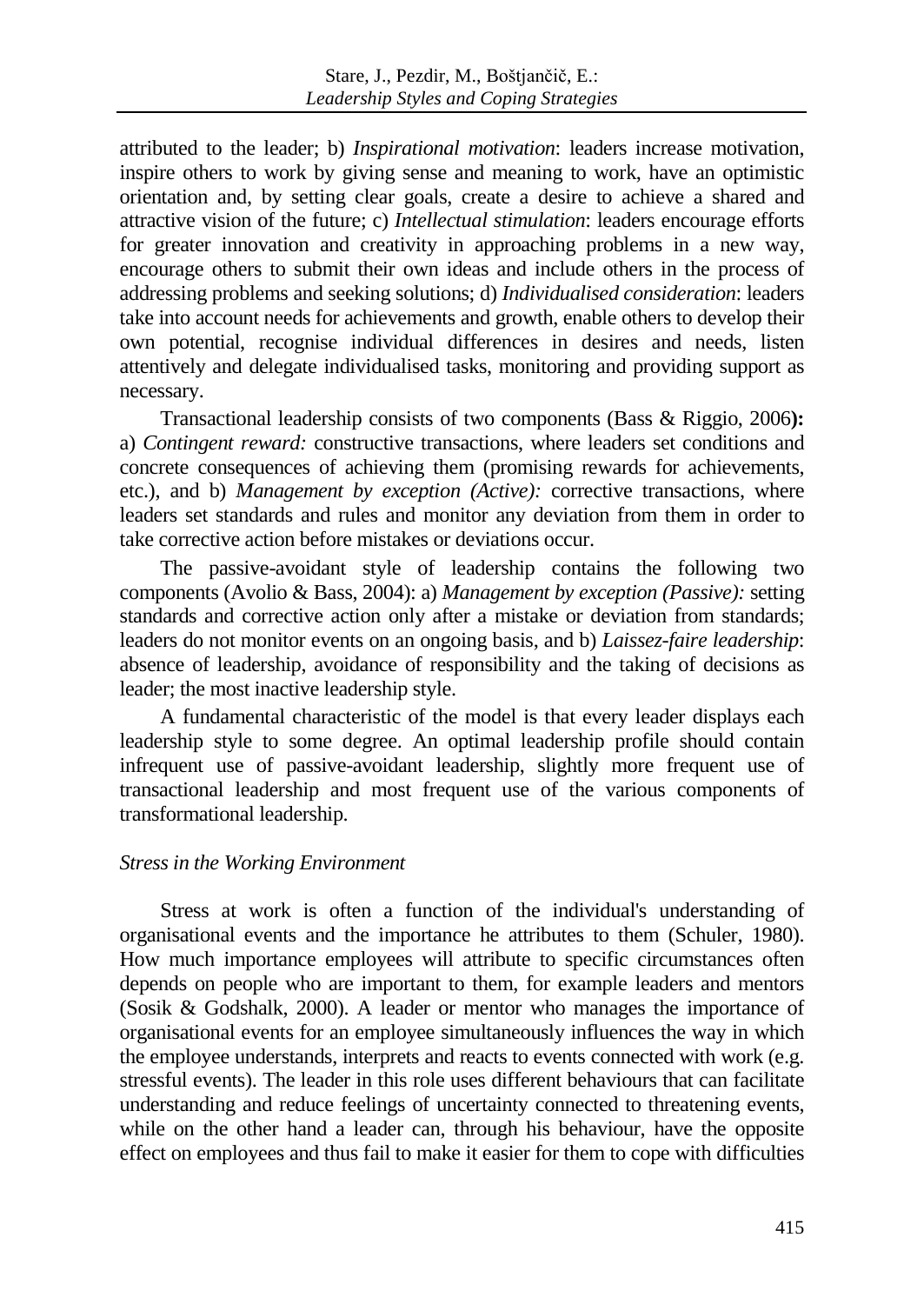attributed to the leader; b) *Inspirational motivation*: leaders increase motivation, inspire others to work by giving sense and meaning to work, have an optimistic orientation and, by setting clear goals, create a desire to achieve a shared and attractive vision of the future; c) *Intellectual stimulation*: leaders encourage efforts for greater innovation and creativity in approaching problems in a new way, encourage others to submit their own ideas and include others in the process of addressing problems and seeking solutions; d) *Individualised consideration*: leaders take into account needs for achievements and growth, enable others to develop their own potential, recognise individual differences in desires and needs, listen attentively and delegate individualised tasks, monitoring and providing support as necessary.

Transactional leadership consists of two components (Bass & Riggio, 2006**):** a) *Contingent reward:* constructive transactions, where leaders set conditions and concrete consequences of achieving them (promising rewards for achievements, etc.), and b) *Management by exception (Active):* corrective transactions, where leaders set standards and rules and monitor any deviation from them in order to take corrective action before mistakes or deviations occur.

The passive-avoidant style of leadership contains the following two components (Avolio & Bass, 2004): a) *Management by exception (Passive):* setting standards and corrective action only after a mistake or deviation from standards; leaders do not monitor events on an ongoing basis, and b) *Laissez-faire leadership*: absence of leadership, avoidance of responsibility and the taking of decisions as leader; the most inactive leadership style.

A fundamental characteristic of the model is that every leader displays each leadership style to some degree. An optimal leadership profile should contain infrequent use of passive-avoidant leadership, slightly more frequent use of transactional leadership and most frequent use of the various components of transformational leadership.

## *Stress in the Working Environment*

Stress at work is often a function of the individual's understanding of organisational events and the importance he attributes to them (Schuler, 1980). How much importance employees will attribute to specific circumstances often depends on people who are important to them, for example leaders and mentors (Sosik & Godshalk, 2000). A leader or mentor who manages the importance of organisational events for an employee simultaneously influences the way in which the employee understands, interprets and reacts to events connected with work (e.g. stressful events). The leader in this role uses different behaviours that can facilitate understanding and reduce feelings of uncertainty connected to threatening events, while on the other hand a leader can, through his behaviour, have the opposite effect on employees and thus fail to make it easier for them to cope with difficulties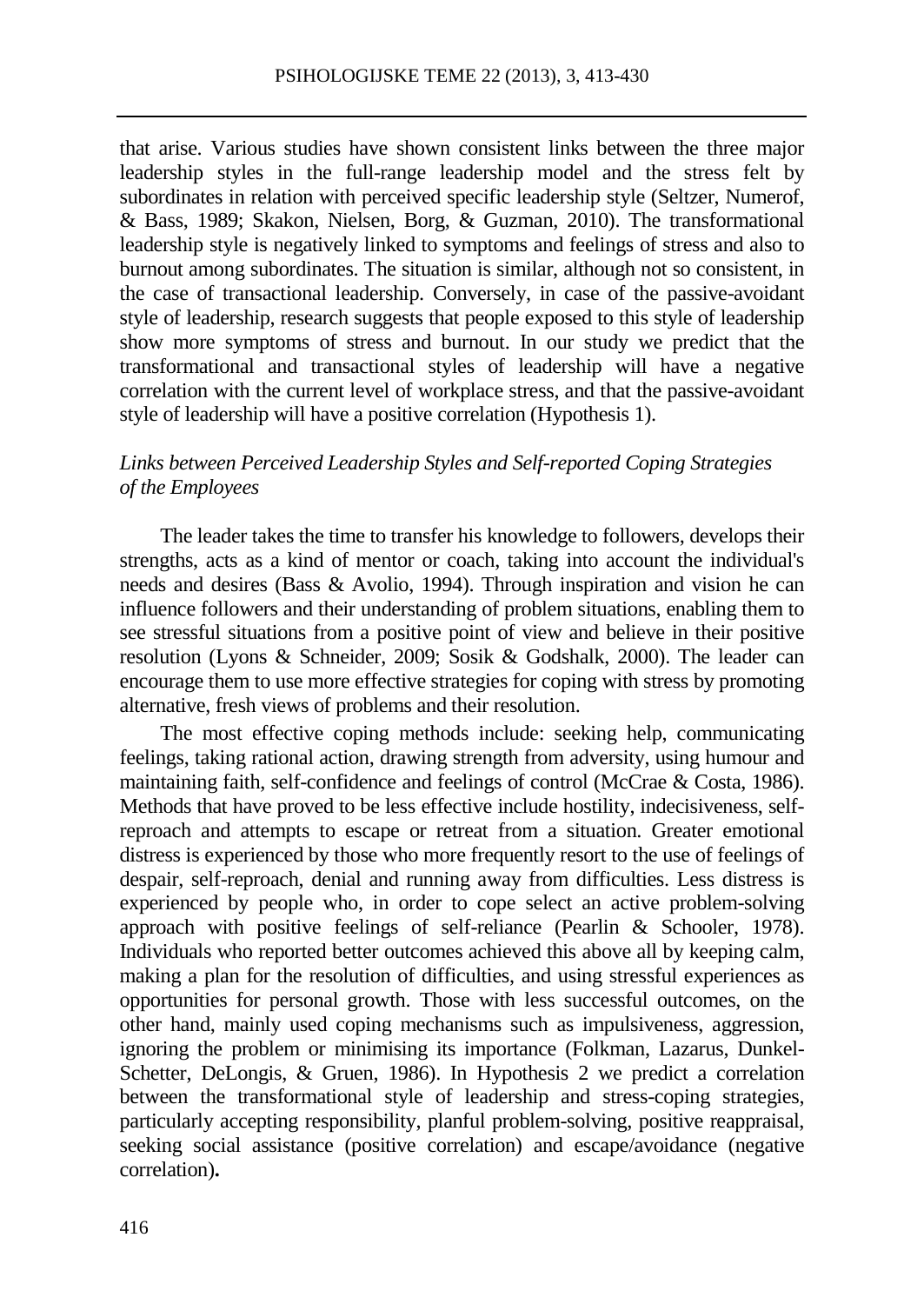that arise. Various studies have shown consistent links between the three major leadership styles in the full-range leadership model and the stress felt by subordinates in relation with perceived specific leadership style (Seltzer, Numerof, & Bass, 1989; Skakon, Nielsen, Borg, & Guzman, 2010). The transformational leadership style is negatively linked to symptoms and feelings of stress and also to burnout among subordinates. The situation is similar, although not so consistent, in the case of transactional leadership. Conversely, in case of the passive-avoidant style of leadership, research suggests that people exposed to this style of leadership show more symptoms of stress and burnout. In our study we predict that the transformational and transactional styles of leadership will have a negative correlation with the current level of workplace stress, and that the passive-avoidant style of leadership will have a positive correlation (Hypothesis 1).

# *Links between Perceived Leadership Styles and Self-reported Coping Strategies of the Employees*

The leader takes the time to transfer his knowledge to followers, develops their strengths, acts as a kind of mentor or coach, taking into account the individual's needs and desires (Bass & Avolio, 1994). Through inspiration and vision he can influence followers and their understanding of problem situations, enabling them to see stressful situations from a positive point of view and believe in their positive resolution (Lyons & Schneider, 2009; Sosik & Godshalk, 2000). The leader can encourage them to use more effective strategies for coping with stress by promoting alternative, fresh views of problems and their resolution.

The most effective coping methods include: seeking help, communicating feelings, taking rational action, drawing strength from adversity, using humour and maintaining faith, self-confidence and feelings of control (McCrae & Costa, 1986). Methods that have proved to be less effective include hostility, indecisiveness, selfreproach and attempts to escape or retreat from a situation. Greater emotional distress is experienced by those who more frequently resort to the use of feelings of despair, self-reproach, denial and running away from difficulties. Less distress is experienced by people who, in order to cope select an active problem-solving approach with positive feelings of self-reliance (Pearlin & Schooler, 1978). Individuals who reported better outcomes achieved this above all by keeping calm, making a plan for the resolution of difficulties, and using stressful experiences as opportunities for personal growth. Those with less successful outcomes, on the other hand, mainly used coping mechanisms such as impulsiveness, aggression, ignoring the problem or minimising its importance (Folkman, Lazarus, Dunkel-Schetter, DeLongis, & Gruen, 1986). In Hypothesis 2 we predict a correlation between the transformational style of leadership and stress-coping strategies, particularly accepting responsibility, planful problem-solving, positive reappraisal, seeking social assistance (positive correlation) and escape/avoidance (negative correlation)**.**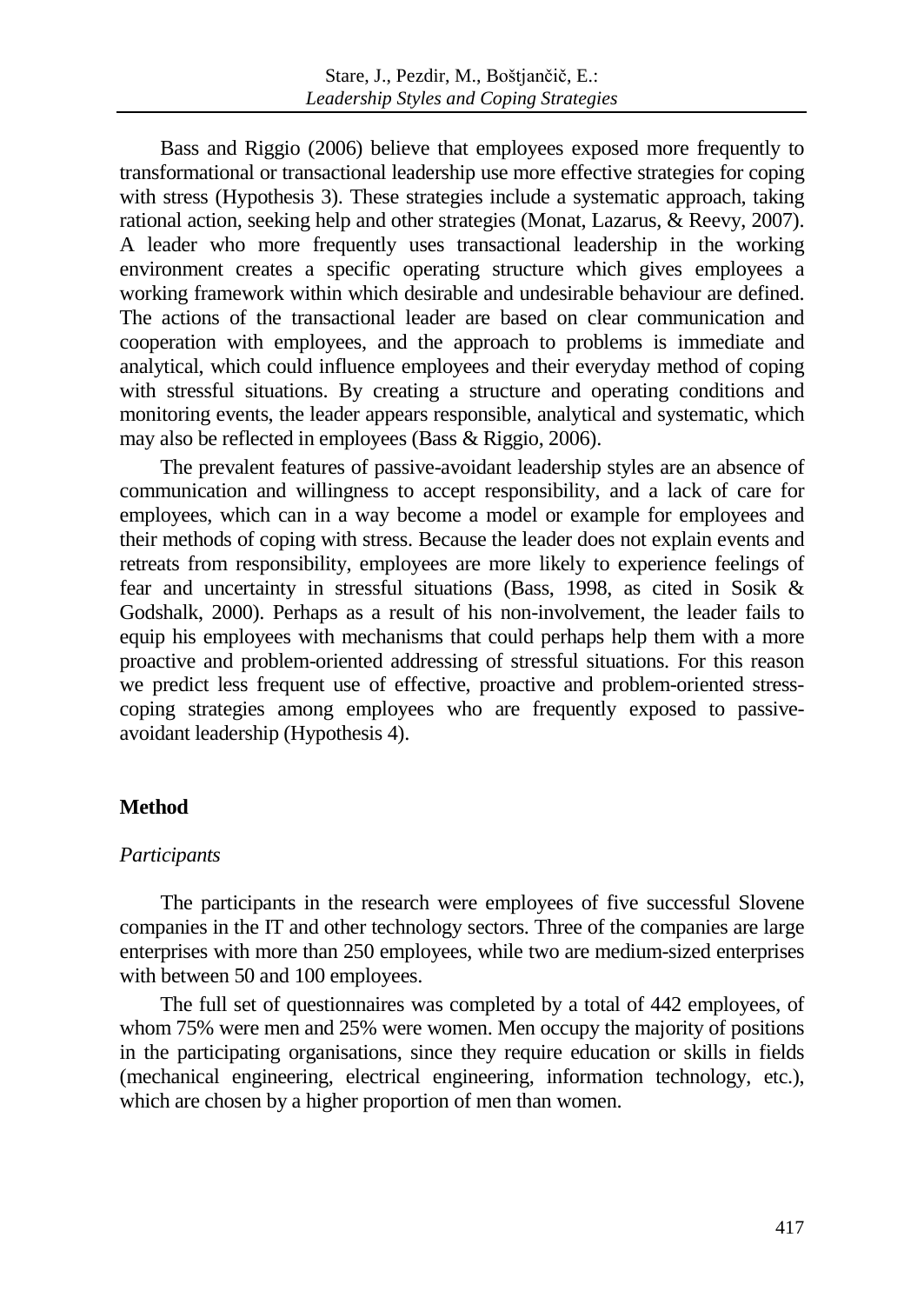Bass and Riggio (2006) believe that employees exposed more frequently to transformational or transactional leadership use more effective strategies for coping with stress (Hypothesis 3). These strategies include a systematic approach, taking rational action, seeking help and other strategies (Monat, Lazarus, & Reevy, 2007). A leader who more frequently uses transactional leadership in the working environment creates a specific operating structure which gives employees a working framework within which desirable and undesirable behaviour are defined. The actions of the transactional leader are based on clear communication and cooperation with employees, and the approach to problems is immediate and analytical, which could influence employees and their everyday method of coping with stressful situations. By creating a structure and operating conditions and monitoring events, the leader appears responsible, analytical and systematic, which may also be reflected in employees (Bass & Riggio, 2006).

The prevalent features of passive-avoidant leadership styles are an absence of communication and willingness to accept responsibility, and a lack of care for employees, which can in a way become a model or example for employees and their methods of coping with stress. Because the leader does not explain events and retreats from responsibility, employees are more likely to experience feelings of fear and uncertainty in stressful situations (Bass, 1998, as cited in Sosik & Godshalk, 2000). Perhaps as a result of his non-involvement, the leader fails to equip his employees with mechanisms that could perhaps help them with a more proactive and problem-oriented addressing of stressful situations. For this reason we predict less frequent use of effective, proactive and problem-oriented stresscoping strategies among employees who are frequently exposed to passiveavoidant leadership (Hypothesis 4).

# **Method**

## *Participants*

The participants in the research were employees of five successful Slovene companies in the IT and other technology sectors. Three of the companies are large enterprises with more than 250 employees, while two are medium-sized enterprises with between 50 and 100 employees.

The full set of questionnaires was completed by a total of 442 employees, of whom 75% were men and 25% were women. Men occupy the majority of positions in the participating organisations, since they require education or skills in fields (mechanical engineering, electrical engineering, information technology, etc.), which are chosen by a higher proportion of men than women.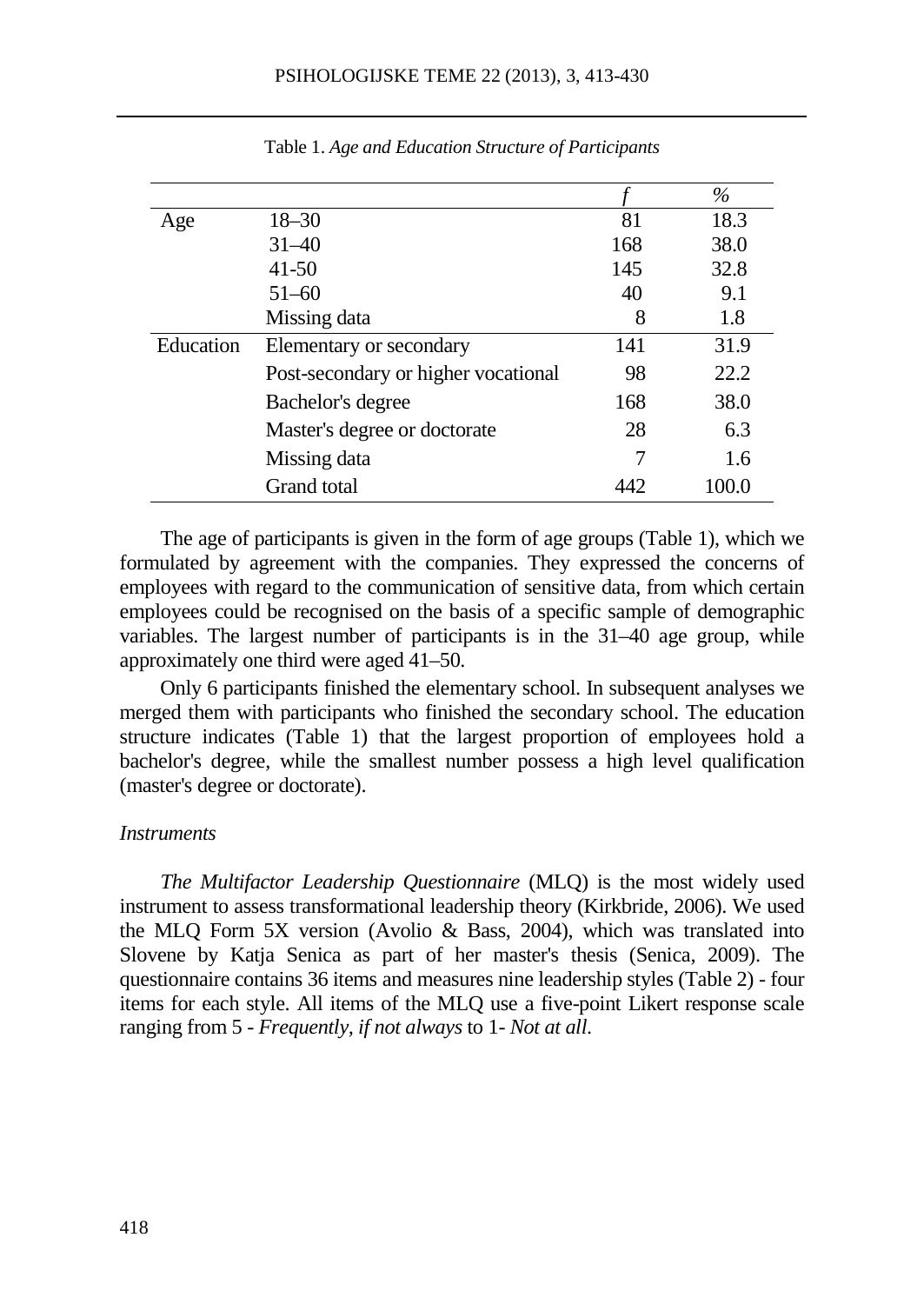|           |                                     |     | $\%$  |
|-----------|-------------------------------------|-----|-------|
| Age       | $18 - 30$                           | 81  | 18.3  |
|           | $31 - 40$                           | 168 | 38.0  |
|           | $41 - 50$                           | 145 | 32.8  |
|           | $51 - 60$                           | 40  | 9.1   |
|           | Missing data                        | 8   | 1.8   |
| Education | Elementary or secondary             | 141 | 31.9  |
|           | Post-secondary or higher vocational | 98  | 22.2  |
|           | Bachelor's degree                   | 168 | 38.0  |
|           | Master's degree or doctorate        | 28  | 6.3   |
|           | Missing data                        | 7   | 1.6   |
|           | Grand total                         | 442 | 100.0 |

Table 1. *Age and Education Structure of Participants*

The age of participants is given in the form of age groups (Table 1), which we formulated by agreement with the companies. They expressed the concerns of employees with regard to the communication of sensitive data, from which certain employees could be recognised on the basis of a specific sample of demographic variables. The largest number of participants is in the 31–40 age group, while approximately one third were aged 41–50.

Only 6 participants finished the elementary school. In subsequent analyses we merged them with participants who finished the secondary school. The education structure indicates (Table 1) that the largest proportion of employees hold a bachelor's degree, while the smallest number possess a high level qualification (master's degree or doctorate).

#### *Instruments*

*The Multifactor Leadership Questionnaire* (MLQ) is the most widely used instrument to assess transformational leadership theory (Kirkbride, 2006). We used the MLQ Form 5X version (Avolio & Bass, 2004), which was translated into Slovene by Katja Senica as part of her master's thesis (Senica, 2009). The questionnaire contains 36 items and measures nine leadership styles (Table 2) - four items for each style. All items of the MLQ use a five-point Likert response scale ranging from 5 - *Frequently, if not always* to 1- *Not at all*.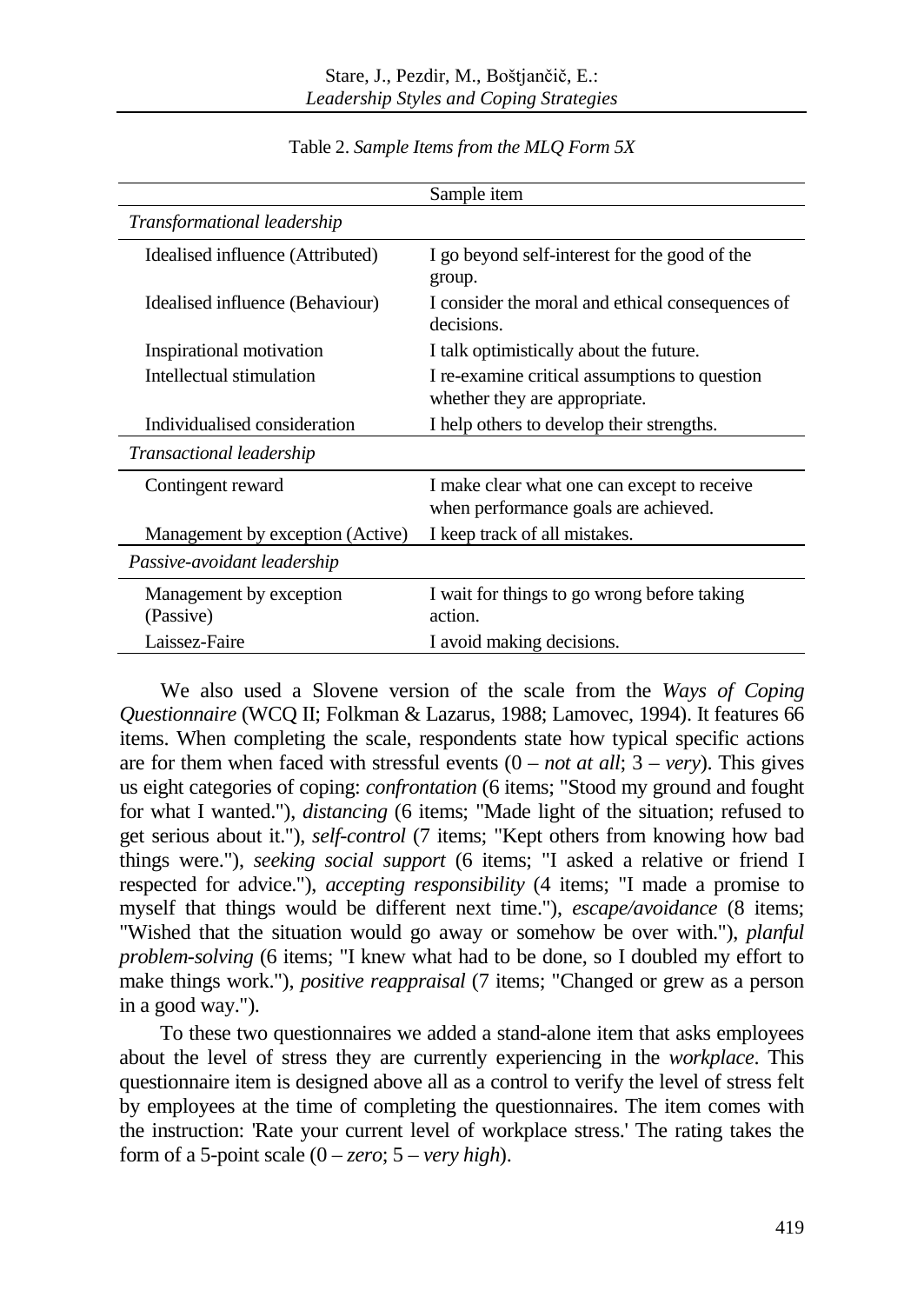|                                      | Sample item                                                                         |
|--------------------------------------|-------------------------------------------------------------------------------------|
| Transformational leadership          |                                                                                     |
| Idealised influence (Attributed)     | I go beyond self-interest for the good of the<br>group.                             |
| Idealised influence (Behaviour)      | I consider the moral and ethical consequences of<br>decisions.                      |
| Inspirational motivation             | I talk optimistically about the future.                                             |
| Intellectual stimulation             | I re-examine critical assumptions to question<br>whether they are appropriate.      |
| Individualised consideration         | I help others to develop their strengths.                                           |
| <i>Transactional leadership</i>      |                                                                                     |
| Contingent reward                    | I make clear what one can except to receive<br>when performance goals are achieved. |
| Management by exception (Active)     | I keep track of all mistakes.                                                       |
| Passive-avoidant leadership          |                                                                                     |
| Management by exception<br>(Passive) | I wait for things to go wrong before taking<br>action.                              |
| Laissez-Faire                        | I avoid making decisions.                                                           |

Table 2. *Sample Items from the MLQ Form 5X*

We also used a Slovene version of the scale from the *Ways of Coping Questionnaire* (WCQ II; Folkman & Lazarus, 1988; Lamovec, 1994). It features 66 items. When completing the scale, respondents state how typical specific actions are for them when faced with stressful events  $(0 - not at all; 3 - very)$ . This gives us eight categories of coping: *confrontation* (6 items; "Stood my ground and fought for what I wanted."), *distancing* (6 items; "Made light of the situation; refused to get serious about it."), *self-control* (7 items; "Kept others from knowing how bad things were."), *seeking social support* (6 items; "I asked a relative or friend I respected for advice."), *accepting responsibility* (4 items; "I made a promise to myself that things would be different next time."), *escape/avoidance* (8 items; "Wished that the situation would go away or somehow be over with."), *planful problem-solving* (6 items; "I knew what had to be done, so I doubled my effort to make things work."), *positive reappraisal* (7 items; "Changed or grew as a person in a good way.").

To these two questionnaires we added a stand-alone item that asks employees about the level of stress they are currently experiencing in the *workplace*. This questionnaire item is designed above all as a control to verify the level of stress felt by employees at the time of completing the questionnaires. The item comes with the instruction: 'Rate your current level of workplace stress.' The rating takes the form of a 5-point scale  $(0 - zero; 5 - very high)$ .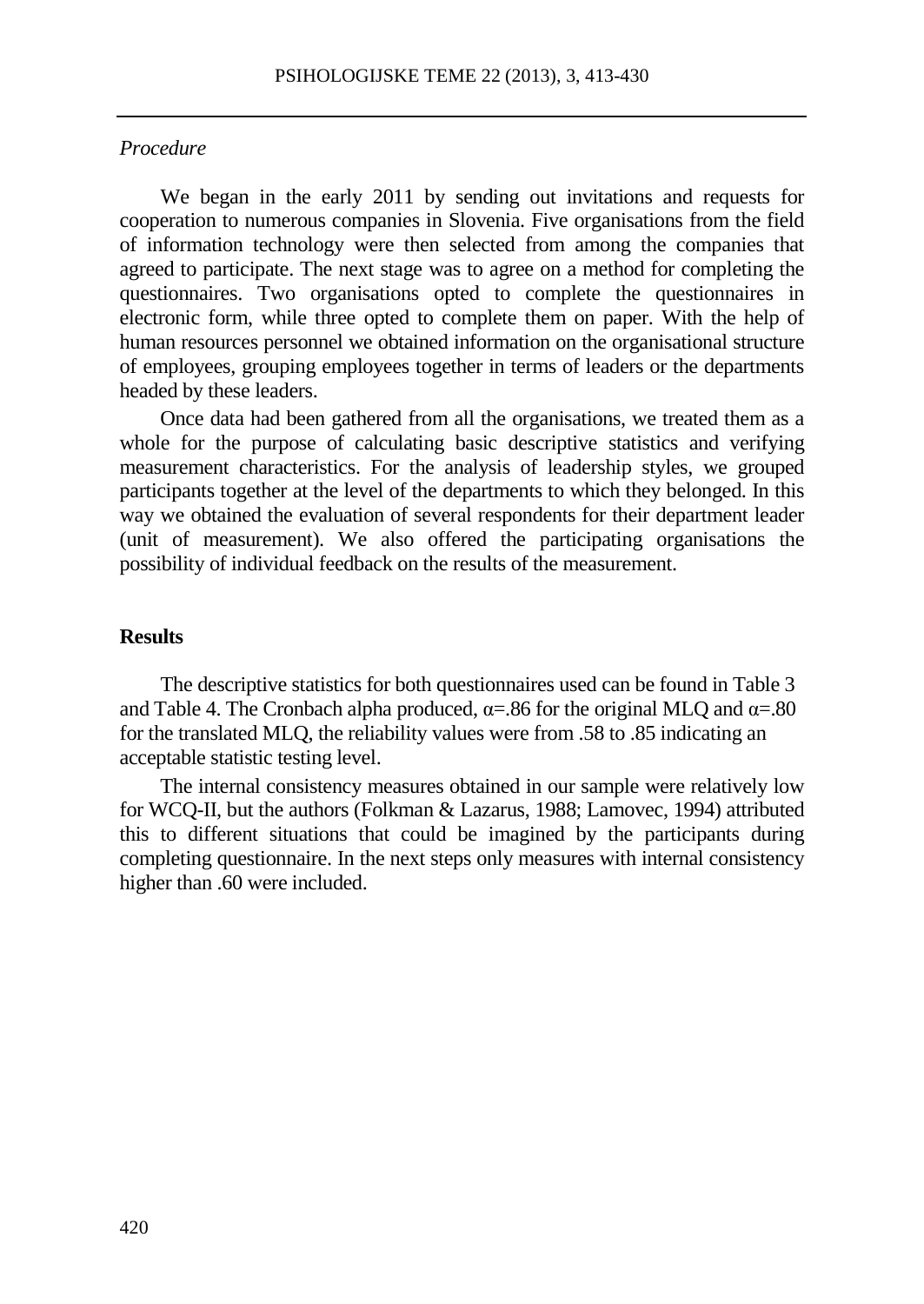#### *Procedure*

We began in the early 2011 by sending out invitations and requests for cooperation to numerous companies in Slovenia. Five organisations from the field of information technology were then selected from among the companies that agreed to participate. The next stage was to agree on a method for completing the questionnaires. Two organisations opted to complete the questionnaires in electronic form, while three opted to complete them on paper. With the help of human resources personnel we obtained information on the organisational structure of employees, grouping employees together in terms of leaders or the departments headed by these leaders.

Once data had been gathered from all the organisations, we treated them as a whole for the purpose of calculating basic descriptive statistics and verifying measurement characteristics. For the analysis of leadership styles, we grouped participants together at the level of the departments to which they belonged. In this way we obtained the evaluation of several respondents for their department leader (unit of measurement). We also offered the participating organisations the possibility of individual feedback on the results of the measurement.

#### **Results**

The descriptive statistics for both questionnaires used can be found in Table 3 and Table 4. The Cronbach alpha produced,  $\alpha = 0.86$  for the original MLQ and  $\alpha = 0.80$ for the translated MLQ, the reliability values were from .58 to .85 indicating an acceptable statistic testing level.

The internal consistency measures obtained in our sample were relatively low for WCQ-II, but the authors (Folkman & Lazarus, 1988; Lamovec, 1994) attributed this to different situations that could be imagined by the participants during completing questionnaire. In the next steps only measures with internal consistency higher than .60 were included.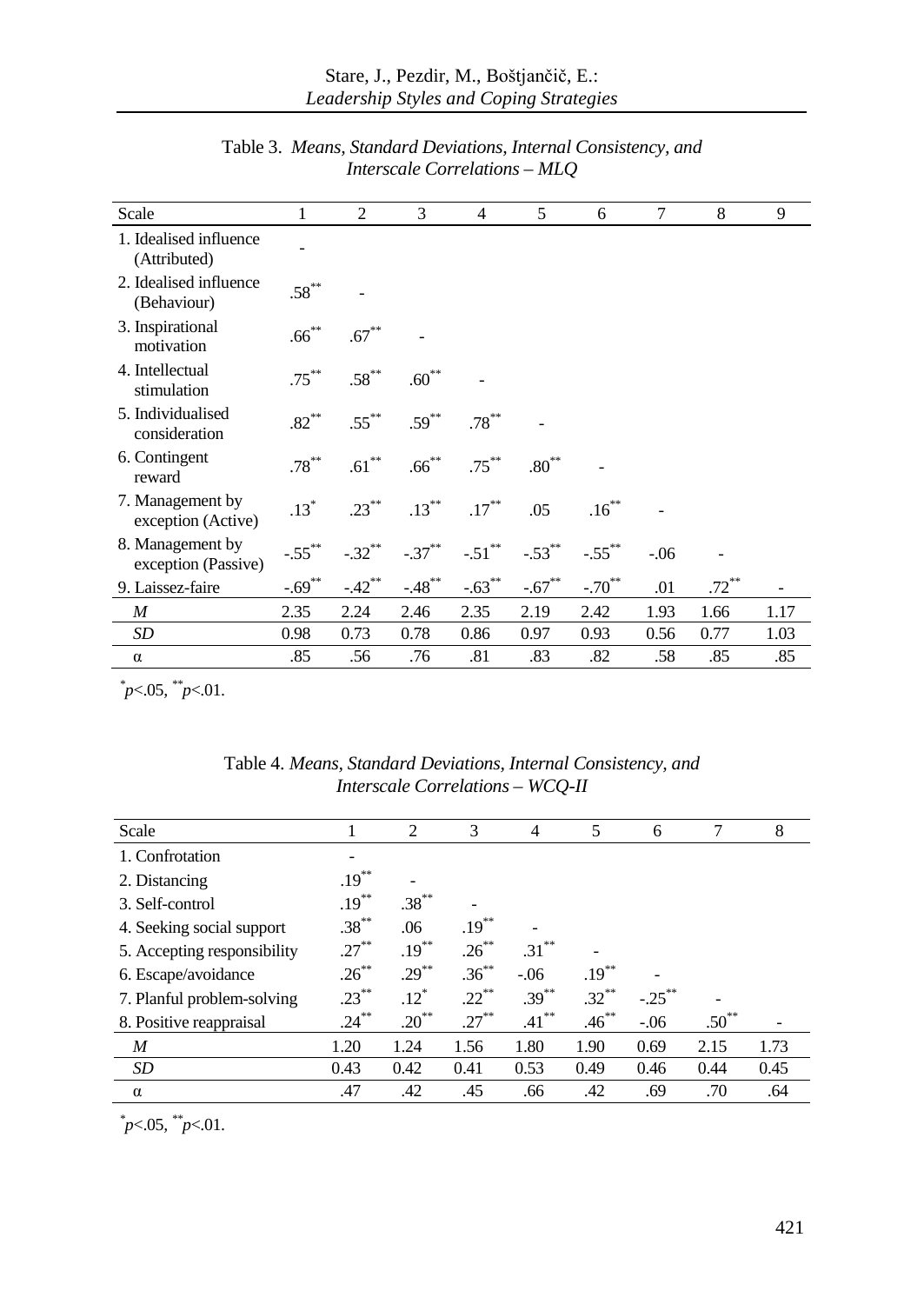| Scale                                   | 1          | 2                | 3          | $\overline{4}$       | 5          | 6         | 7      | 8        | 9    |
|-----------------------------------------|------------|------------------|------------|----------------------|------------|-----------|--------|----------|------|
| 1. Idealised influence<br>(Attributed)  |            |                  |            |                      |            |           |        |          |      |
| 2. Idealised influence<br>(Behaviour)   | $.58***$   |                  |            |                      |            |           |        |          |      |
| 3. Inspirational<br>motivation          | $.66^{**}$ | $.67^{\ast\ast}$ |            |                      |            |           |        |          |      |
| 4. Intellectual<br>stimulation          | $.75***$   | $.58***$         | $.60***$   |                      |            |           |        |          |      |
| 5. Individualised<br>consideration      | $.82***$   | $.55***$         | $.59***$   | $.78***$             |            |           |        |          |      |
| 6. Contingent<br>reward                 | $.78***$   | $.61***$         | $.66***$   | $.75***$             | $.80^{**}$ |           |        |          |      |
| 7. Management by<br>exception (Active)  | $.13*$     | $.23***$         | $.13***$   | $.17***$             | .05        | $.16***$  |        |          |      |
| 8. Management by<br>exception (Passive) | $-.55***$  | $-.32**$         | $-.37***$  | $-.51$ <sup>**</sup> | $-.53***$  | $-.55***$ | $-.06$ |          |      |
| 9. Laissez-faire                        | $-.69***$  | $-42^{**}$       | $-48^{**}$ | $-0.63$ **           | $-.67***$  | $-.70^*$  | .01    | $.72***$ |      |
| M                                       | 2.35       | 2.24             | 2.46       | 2.35                 | 2.19       | 2.42      | 1.93   | 1.66     | 1.17 |
| SD                                      | 0.98       | 0.73             | 0.78       | 0.86                 | 0.97       | 0.93      | 0.56   | 0.77     | 1.03 |
| $\alpha$                                | .85        | .56              | .76        | .81                  | .83        | .82       | .58    | .85      | .85  |

Table 3. *Means, Standard Deviations, Internal Consistency, and Interscale Correlations – MLQ*

*\* p*<.05*, \*\*p*<.01.

| Scale                       |          | $\overline{c}$ | 3        | 4        | 5        | 6         | 7          | 8    |
|-----------------------------|----------|----------------|----------|----------|----------|-----------|------------|------|
| 1. Confrotation             |          |                |          |          |          |           |            |      |
| 2. Distancing               | $.19***$ |                |          |          |          |           |            |      |
| 3. Self-control             | $.19***$ | $.38***$       |          |          |          |           |            |      |
| 4. Seeking social support   | $.38***$ | .06            | $.19***$ |          |          |           |            |      |
| 5. Accepting responsibility | $.27***$ | $.19***$       | $.26***$ | $.31***$ |          |           |            |      |
| 6. Escape/avoidance         | $.26***$ | $.29***$       | $.36***$ | $-06$    | $.19***$ |           |            |      |
| 7. Planful problem-solving  | $.23***$ | $.12^*$        | $.22***$ | $.39***$ | $.32***$ | $-.25***$ |            |      |
| 8. Positive reappraisal     | $.24***$ | $.20***$       | $.27***$ | $.41***$ | $.46***$ | $-.06$    | $.50^{**}$ |      |
| $\boldsymbol{M}$            | 1.20     | 1.24           | 1.56     | 1.80     | 1.90     | 0.69      | 2.15       | 1.73 |
| SD                          | 0.43     | 0.42           | 0.41     | 0.53     | 0.49     | 0.46      | 0.44       | 0.45 |
| $\alpha$                    | .47      | .42            | .45      | .66      | .42      | .69       | .70        | .64  |

Table 4. *Means, Standard Deviations, Internal Consistency, and Interscale Correlations – WCQ-II*

*\* p*<.05*, \*\*p*<.01.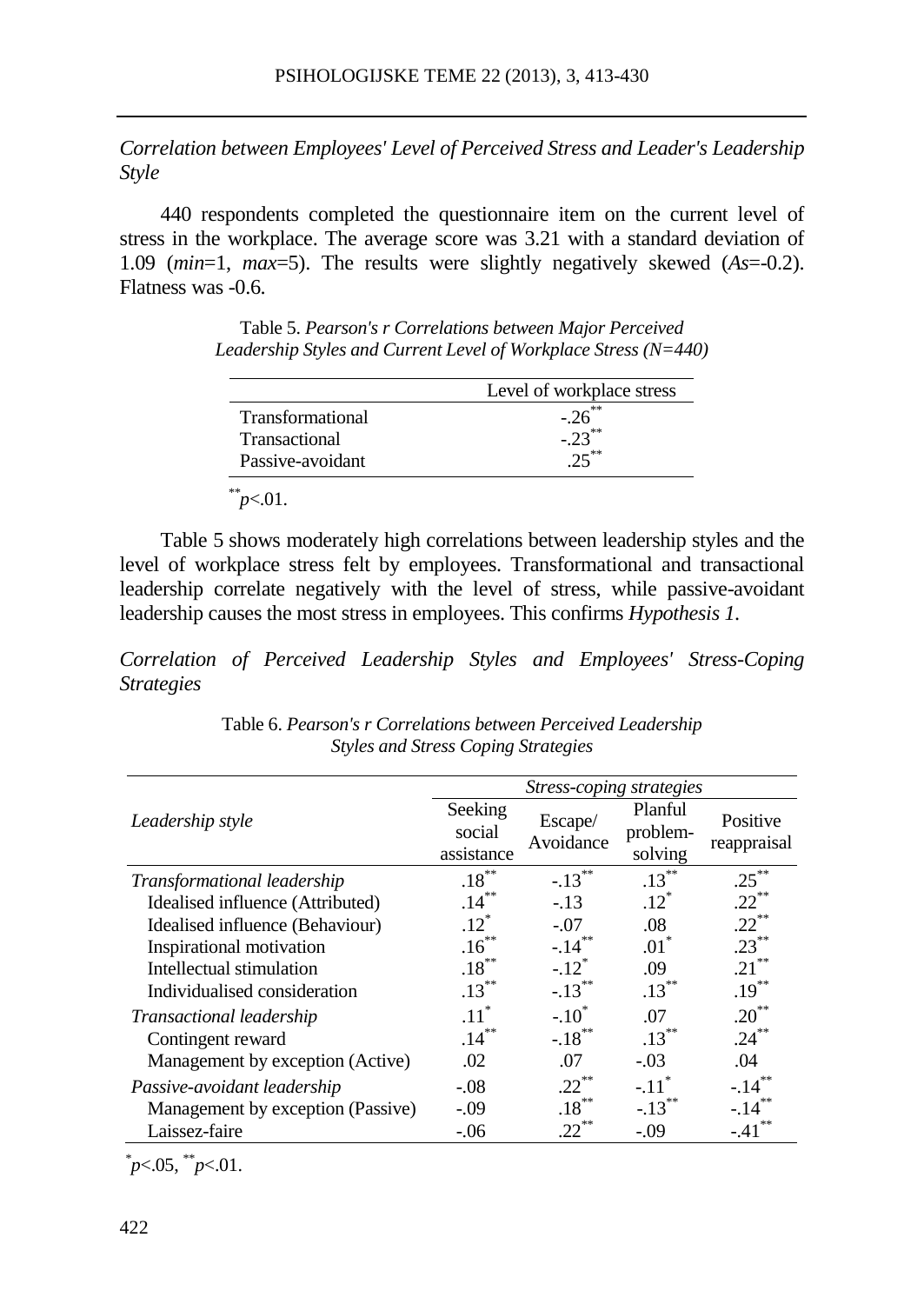*Correlation between Employees' Level of Perceived Stress and Leader's Leadership Style*

440 respondents completed the questionnaire item on the current level of stress in the workplace. The average score was 3.21 with a standard deviation of 1.09 (*min*=1, *max*=5). The results were slightly negatively skewed (*As*=-0.2). Flatness was -0.6.

Table 5. *Pearson's r Correlations between Major Perceived Leadership Styles and Current Level of Workplace Stress (N=440)*

|                         | Level of workplace stress |
|-------------------------|---------------------------|
| <b>Transformational</b> | $-26$ <sup>**</sup>       |
| <b>Transactional</b>    | $-.23***$                 |
| Passive-avoidant        |                           |

*\*\*p*<.01.

Table 5 shows moderately high correlations between leadership styles and the level of workplace stress felt by employees. Transformational and transactional leadership correlate negatively with the level of stress, while passive-avoidant leadership causes the most stress in employees. This confirms *Hypothesis 1*.

*Correlation of Perceived Leadership Styles and Employees' Stress-Coping Strategies*

|                                    | <i>Stress-coping strategies</i> |                      |                                |                         |  |  |
|------------------------------------|---------------------------------|----------------------|--------------------------------|-------------------------|--|--|
| Leadership style                   | Seeking<br>social<br>assistance | Escape/<br>Avoidance | Planful<br>problem-<br>solving | Positive<br>reappraisal |  |  |
| <i>Transformational leadership</i> | $.18***$                        | $-.13***$            | $.13***$                       | $.25***$                |  |  |
| Idealised influence (Attributed)   | $.14***$                        | $-.13$               | $.12*$                         | $.22***$                |  |  |
| Idealised influence (Behaviour)    | $.12^*$                         | $-.07$               | .08                            | $.22***$                |  |  |
| Inspirational motivation           | $.16***$                        | $-.14***$            | $.01^*$                        | $.23***$                |  |  |
| Intellectual stimulation           | $.18***$                        | $-.12$ <sup>*</sup>  | .09                            | $.21***$                |  |  |
| Individualised consideration       | $.13***$                        | $-.13$ <sup>**</sup> | $.13***$                       | $.19***$                |  |  |
| <i>Transactional leadership</i>    | $.11$ <sup>*</sup>              | $-.10^*$             | .07                            | $.20***$                |  |  |
| Contingent reward                  | $.14***$                        | $-.18$ <sup>**</sup> | $.13***$                       | $.24***$                |  |  |
| Management by exception (Active)   | .02                             | .07                  | $-.03$                         | .04                     |  |  |
| Passive-avoidant leadership        | $-.08$                          | $.22***$             | $-.11$ <sup>*</sup>            | $-.14***$               |  |  |
| Management by exception (Passive)  | $-.09$                          | $.18***$             | $-.13***$                      | $-.14***$               |  |  |
| Laissez-faire                      | $-.06$                          | $.22***$             | $-.09$                         | $-41$                   |  |  |

Table 6. *Pearson's r Correlations between Perceived Leadership Styles and Stress Coping Strategies*

*\* p*<.05, \*\**p*<.01.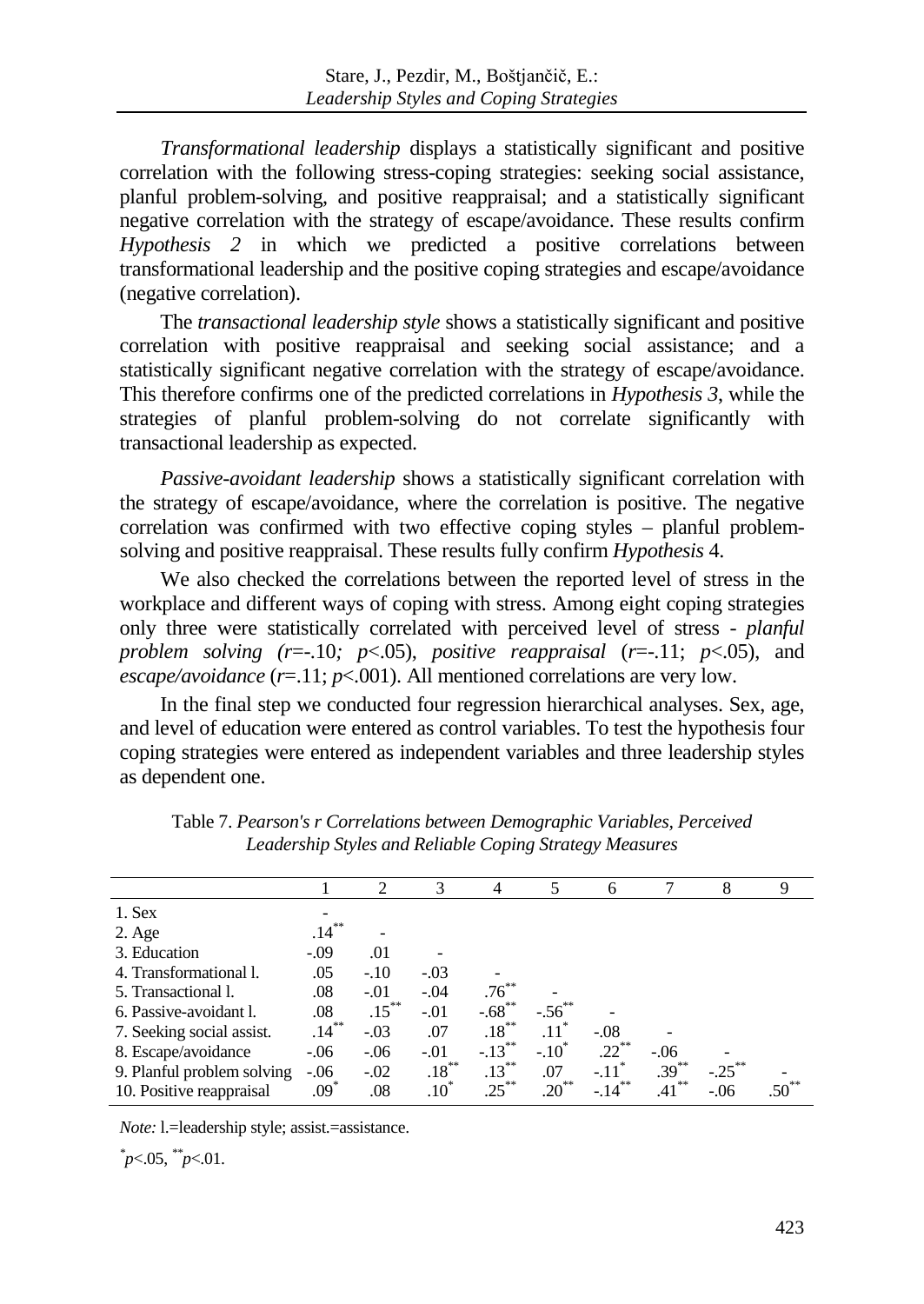*Transformational leadership* displays a statistically significant and positive correlation with the following stress-coping strategies: seeking social assistance, planful problem-solving, and positive reappraisal; and a statistically significant negative correlation with the strategy of escape/avoidance. These results confirm *Hypothesis 2* in which we predicted a positive correlations between transformational leadership and the positive coping strategies and escape/avoidance (negative correlation).

The *transactional leadership style* shows a statistically significant and positive correlation with positive reappraisal and seeking social assistance; and a statistically significant negative correlation with the strategy of escape/avoidance. This therefore confirms one of the predicted correlations in *Hypothesis 3*, while the strategies of planful problem-solving do not correlate significantly with transactional leadership as expected.

*Passive-avoidant leadership* shows a statistically significant correlation with the strategy of escape/avoidance, where the correlation is positive. The negative correlation was confirmed with two effective coping styles – planful problemsolving and positive reappraisal. These results fully confirm *Hypothesis* 4.

We also checked the correlations between the reported level of stress in the workplace and different ways of coping with stress. Among eight coping strategies only three were statistically correlated with perceived level of stress - *planful problem solving (r*=-.10*; p*<.05), *positive reappraisal* (*r*=-.11; *p*<.05), and *escape/avoidance* (*r*=.11; *p*<.001). All mentioned correlations are very low.

In the final step we conducted four regression hierarchical analyses. Sex, age, and level of education were entered as control variables. To test the hypothesis four coping strategies were entered as independent variables and three leadership styles as dependent one.

|                            |          | 2        | 3        | $\overline{4}$       | 5                | 6                   |          | 8         | 9   |
|----------------------------|----------|----------|----------|----------------------|------------------|---------------------|----------|-----------|-----|
| 1. Sex                     |          |          |          |                      |                  |                     |          |           |     |
| $2. \text{Age}$            | $.14***$ |          |          |                      |                  |                     |          |           |     |
| 3. Education               | $-.09$   | .01      |          |                      |                  |                     |          |           |     |
| 4. Transformational 1.     | .05      | $-.10$   | $-.03$   |                      |                  |                     |          |           |     |
| 5. Transactional 1.        | .08      | $-.01$   | $-.04$   | $.76***$             |                  |                     |          |           |     |
| 6. Passive-avoidant l.     | .08      | $.15***$ | $-.01$   | $-.68$ <sup>**</sup> | $-.56^{**}$      |                     |          |           |     |
| 7. Seeking social assist.  | $.14***$ | $-.03$   | .07      | $.18***$             | .11              | $-.08$              |          |           |     |
| 8. Escape/avoidance        | $-.06$   | $-.06$   | $-.01$   | $-.13***$            | $-.10^{\degree}$ | $.22$ <sup>**</sup> | $-06$    |           |     |
| 9. Planful problem solving | $-.06$   | $-.02$   | $.18***$ | $.13***$             | .07              | $-.11$ <sup>*</sup> | $.39***$ | $-.25***$ |     |
| 10. Positive reappraisal   | $.09*$   | .08      | $.10*$   | $.25***$             | $.20***$         | $-14$               | .41      | $-.06$    | .50 |

Table 7. *Pearson's r Correlations between Demographic Variables, Perceived Leadership Styles and Reliable Coping Strategy Measures*

*Note:* l.=leadership style; assist.=assistance.

*\* p*<.05, *\*\*p*<.01.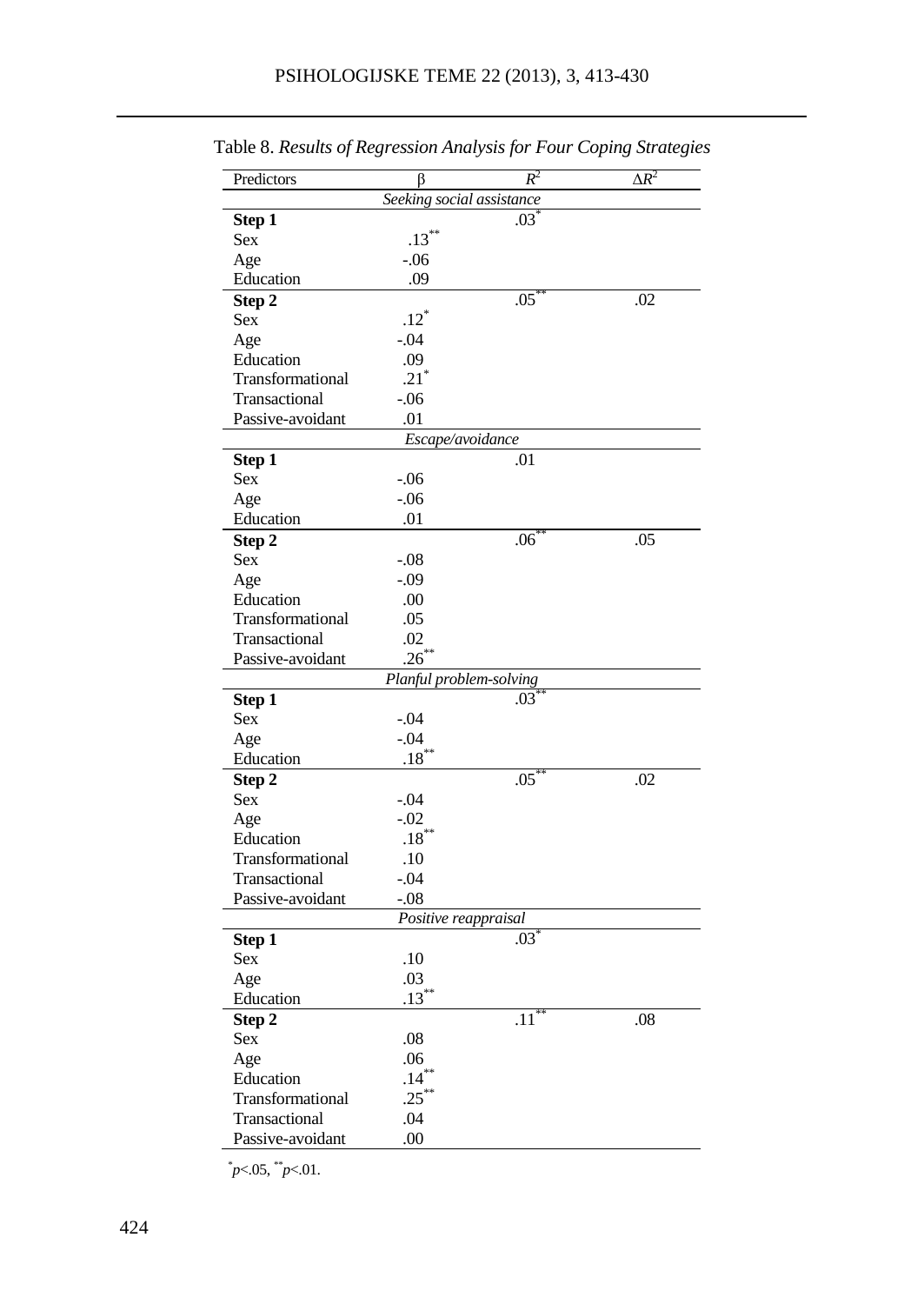| Predictors       | ß                         | $R^2$           | $\Delta R^2$ |
|------------------|---------------------------|-----------------|--------------|
|                  | Seeking social assistance |                 |              |
| Step 1           |                           | $.03^{\degree}$ |              |
| Sex              | $.13***$                  |                 |              |
| Age              | $-0.06$                   |                 |              |
| Education        | .09                       |                 |              |
| Step 2           |                           | $.05^{\circ}$   | .02          |
| Sex              | $.12*$                    |                 |              |
| Age              | $-.04$                    |                 |              |
| Education        | .09                       |                 |              |
| Transformational | $.21$ <sup>*</sup>        |                 |              |
| Transactional    | $-0.06$                   |                 |              |
| Passive-avoidant | .01                       |                 |              |
|                  | Escape/avoidance          |                 |              |
| Step 1           |                           | .01             |              |
| Sex              | $-06$                     |                 |              |
| Age              | $-06$                     |                 |              |
| Education        | .01                       |                 |              |
| Step 2           |                           | $.06^{\degree}$ | .05          |
| Sex              | $-.08$                    |                 |              |
| Age              | -.09                      |                 |              |
| Education        | .00                       |                 |              |
| Transformational | .05                       |                 |              |
| Transactional    | .02                       |                 |              |
| Passive-avoidant | .26                       |                 |              |
|                  | Planful problem-solving   |                 |              |
| Step 1           |                           | .03             |              |
| Sex              | $-.04$                    |                 |              |
| Age              | $-.04$                    |                 |              |
| Education        | .18                       |                 |              |
| Step 2           |                           | $.05^*$         | .02          |
| Sex              | $-.04$                    |                 |              |
| Age              | -.02                      |                 |              |
| Education        | $.18^{\degree}$           |                 |              |
| Transformational | .10                       |                 |              |
| Transactional    | $-0.04$                   |                 |              |
| Passive-avoidant | $-0.08$                   |                 |              |
|                  | Positive reappraisal      |                 |              |
| Step 1           |                           | $.03^{\degree}$ |              |
| Sex              | .10                       |                 |              |
| Age              | .03                       |                 |              |
| Education        | .13                       |                 |              |
| Step 2           |                           | .11             | .08          |
| Sex              | .08                       |                 |              |
| Age              | .06                       |                 |              |
| Education        | $.14***$                  |                 |              |
| Transformational | $.25***$                  |                 |              |
| Transactional    | .04                       |                 |              |
| Passive-avoidant | .00                       |                 |              |

Table 8. *Results of Regression Analysis for Four Coping Strategies*

 $\mu$  < 05,  $\mu$  < 01.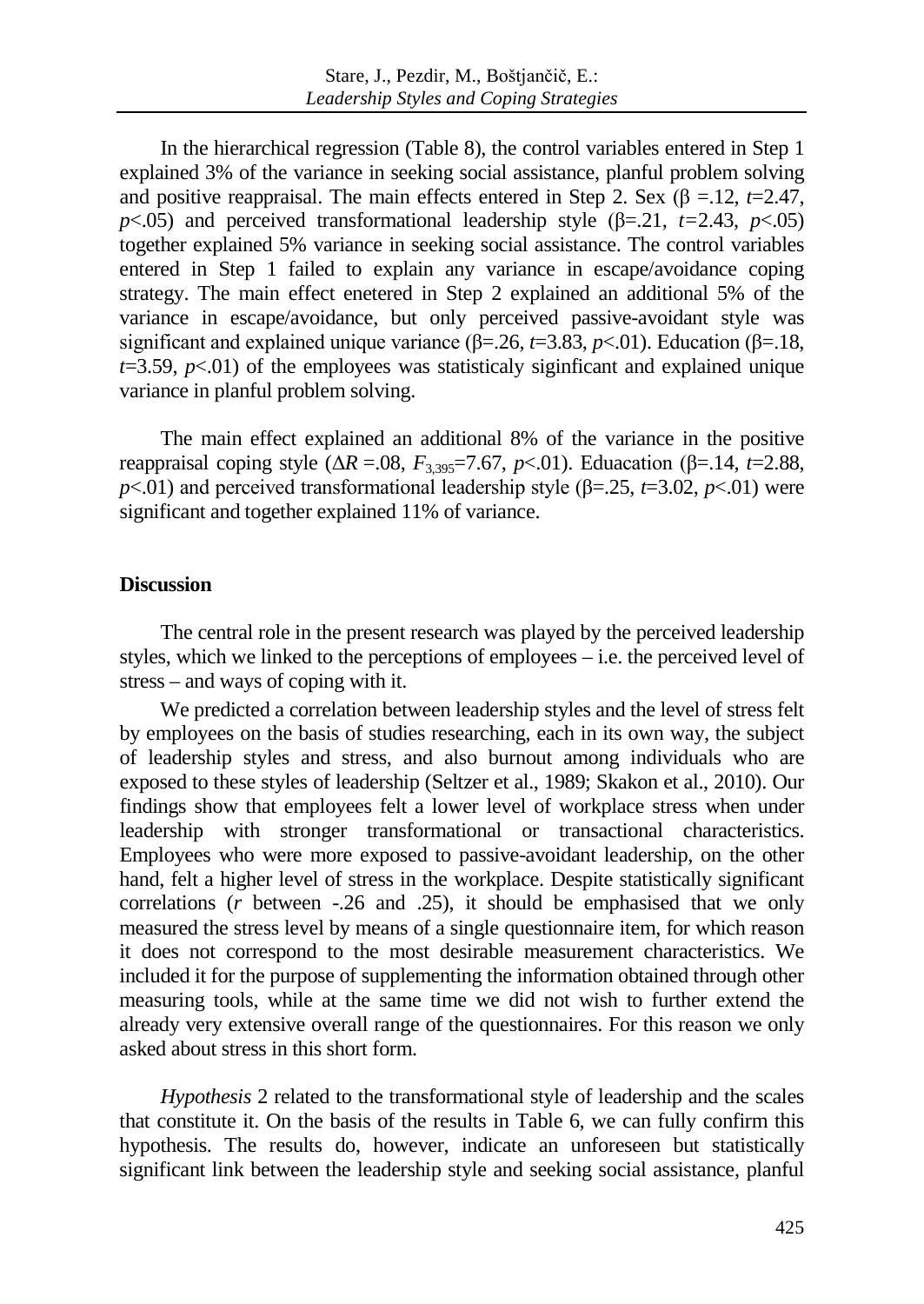In the hierarchical regression (Table 8), the control variables entered in Step 1 explained 3% of the variance in seeking social assistance, planful problem solving and positive reappraisal. The main effects entered in Step 2. Sex  $(\beta = 12, t=2.47)$ , *p*<.05) and perceived transformational leadership style  $(\beta = .21, t = 2.43, p < .05)$ together explained 5% variance in seeking social assistance. The control variables entered in Step 1 failed to explain any variance in escape/avoidance coping strategy. The main effect enetered in Step 2 explained an additional 5% of the variance in escape/avoidance, but only perceived passive-avoidant style was significant and explained unique variance ( $\beta$ =.26, *t*=3.83, *p*<.01). Education ( $\beta$ =.18,  $t=3.59$ ,  $p<.01$ ) of the employees was statisticaly significant and explained unique variance in planful problem solving.

The main effect explained an additional 8% of the variance in the positive reappraisal coping style ( $ΔR = .08$ ,  $F_{3,395} = 7.67$ ,  $p < .01$ ). Eduacation (β=.14, *t*=2.88,  $p<.01$ ) and perceived transformational leadership style ( $\beta$ =.25, *t*=3.02, *p*<.01) were significant and together explained 11% of variance.

### **Discussion**

The central role in the present research was played by the perceived leadership styles, which we linked to the perceptions of employees – i.e. the perceived level of stress – and ways of coping with it.

We predicted a correlation between leadership styles and the level of stress felt by employees on the basis of studies researching, each in its own way, the subject of leadership styles and stress, and also burnout among individuals who are exposed to these styles of leadership (Seltzer et al., 1989; Skakon et al., 2010). Our findings show that employees felt a lower level of workplace stress when under leadership with stronger transformational or transactional characteristics. Employees who were more exposed to passive-avoidant leadership, on the other hand, felt a higher level of stress in the workplace. Despite statistically significant correlations (*r* between -.26 and .25), it should be emphasised that we only measured the stress level by means of a single questionnaire item, for which reason it does not correspond to the most desirable measurement characteristics. We included it for the purpose of supplementing the information obtained through other measuring tools, while at the same time we did not wish to further extend the already very extensive overall range of the questionnaires. For this reason we only asked about stress in this short form.

*Hypothesis* 2 related to the transformational style of leadership and the scales that constitute it. On the basis of the results in Table 6, we can fully confirm this hypothesis. The results do, however, indicate an unforeseen but statistically significant link between the leadership style and seeking social assistance, planful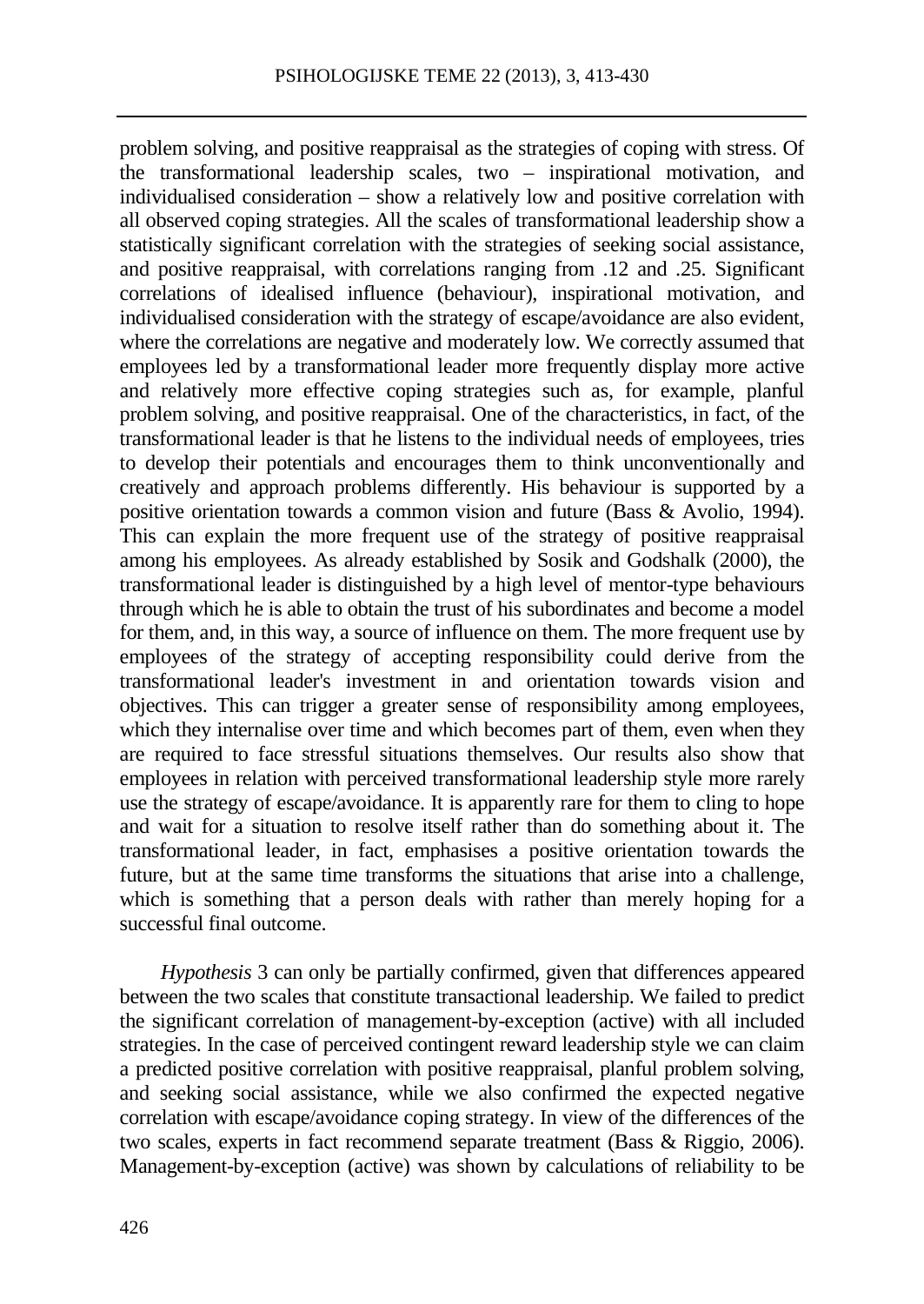problem solving, and positive reappraisal as the strategies of coping with stress. Of the transformational leadership scales, two – inspirational motivation, and individualised consideration – show a relatively low and positive correlation with all observed coping strategies. All the scales of transformational leadership show a statistically significant correlation with the strategies of seeking social assistance, and positive reappraisal, with correlations ranging from .12 and .25. Significant correlations of idealised influence (behaviour), inspirational motivation, and individualised consideration with the strategy of escape/avoidance are also evident, where the correlations are negative and moderately low. We correctly assumed that employees led by a transformational leader more frequently display more active and relatively more effective coping strategies such as, for example, planful problem solving, and positive reappraisal. One of the characteristics, in fact, of the transformational leader is that he listens to the individual needs of employees, tries to develop their potentials and encourages them to think unconventionally and creatively and approach problems differently. His behaviour is supported by a positive orientation towards a common vision and future (Bass & Avolio, 1994). This can explain the more frequent use of the strategy of positive reappraisal among his employees. As already established by Sosik and Godshalk (2000), the transformational leader is distinguished by a high level of mentor-type behaviours through which he is able to obtain the trust of his subordinates and become a model for them, and, in this way, a source of influence on them. The more frequent use by employees of the strategy of accepting responsibility could derive from the transformational leader's investment in and orientation towards vision and objectives. This can trigger a greater sense of responsibility among employees, which they internalise over time and which becomes part of them, even when they are required to face stressful situations themselves. Our results also show that employees in relation with perceived transformational leadership style more rarely use the strategy of escape/avoidance. It is apparently rare for them to cling to hope and wait for a situation to resolve itself rather than do something about it. The transformational leader, in fact, emphasises a positive orientation towards the future, but at the same time transforms the situations that arise into a challenge, which is something that a person deals with rather than merely hoping for a successful final outcome.

*Hypothesis* 3 can only be partially confirmed, given that differences appeared between the two scales that constitute transactional leadership. We failed to predict the significant correlation of management-by-exception (active) with all included strategies. In the case of perceived contingent reward leadership style we can claim a predicted positive correlation with positive reappraisal, planful problem solving, and seeking social assistance, while we also confirmed the expected negative correlation with escape/avoidance coping strategy. In view of the differences of the two scales, experts in fact recommend separate treatment (Bass & Riggio, 2006). Management-by-exception (active) was shown by calculations of reliability to be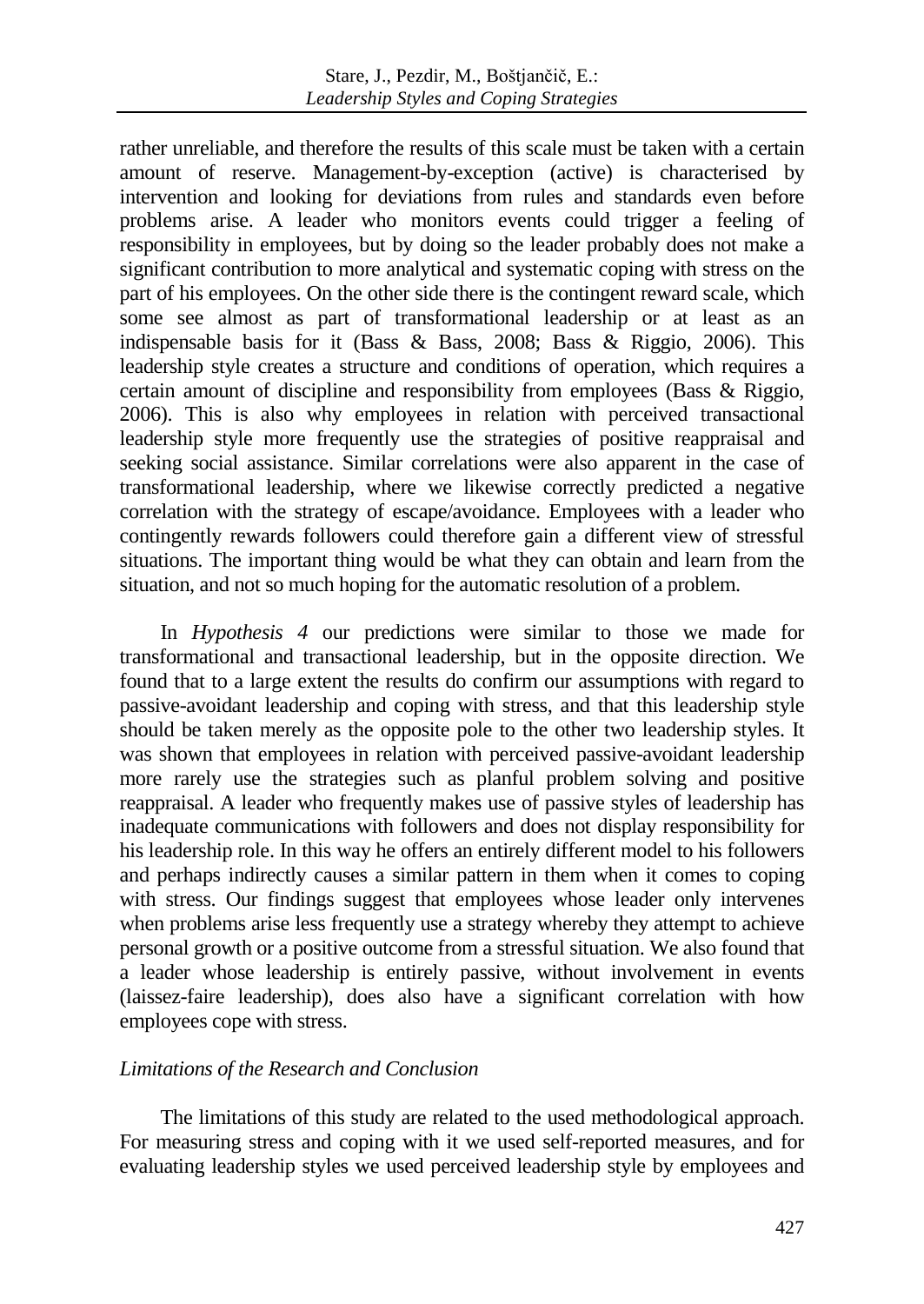rather unreliable, and therefore the results of this scale must be taken with a certain amount of reserve. Management-by-exception (active) is characterised by intervention and looking for deviations from rules and standards even before problems arise. A leader who monitors events could trigger a feeling of responsibility in employees, but by doing so the leader probably does not make a significant contribution to more analytical and systematic coping with stress on the part of his employees. On the other side there is the contingent reward scale, which some see almost as part of transformational leadership or at least as an indispensable basis for it (Bass & Bass, 2008; Bass & Riggio, 2006). This leadership style creates a structure and conditions of operation, which requires a certain amount of discipline and responsibility from employees (Bass & Riggio, 2006). This is also why employees in relation with perceived transactional leadership style more frequently use the strategies of positive reappraisal and seeking social assistance. Similar correlations were also apparent in the case of transformational leadership, where we likewise correctly predicted a negative correlation with the strategy of escape/avoidance. Employees with a leader who contingently rewards followers could therefore gain a different view of stressful situations. The important thing would be what they can obtain and learn from the situation, and not so much hoping for the automatic resolution of a problem.

In *Hypothesis 4* our predictions were similar to those we made for transformational and transactional leadership, but in the opposite direction. We found that to a large extent the results do confirm our assumptions with regard to passive-avoidant leadership and coping with stress, and that this leadership style should be taken merely as the opposite pole to the other two leadership styles. It was shown that employees in relation with perceived passive-avoidant leadership more rarely use the strategies such as planful problem solving and positive reappraisal. A leader who frequently makes use of passive styles of leadership has inadequate communications with followers and does not display responsibility for his leadership role. In this way he offers an entirely different model to his followers and perhaps indirectly causes a similar pattern in them when it comes to coping with stress. Our findings suggest that employees whose leader only intervenes when problems arise less frequently use a strategy whereby they attempt to achieve personal growth or a positive outcome from a stressful situation. We also found that a leader whose leadership is entirely passive, without involvement in events (laissez-faire leadership), does also have a significant correlation with how employees cope with stress.

## *Limitations of the Research and Conclusion*

The limitations of this study are related to the used methodological approach. For measuring stress and coping with it we used self-reported measures, and for evaluating leadership styles we used perceived leadership style by employees and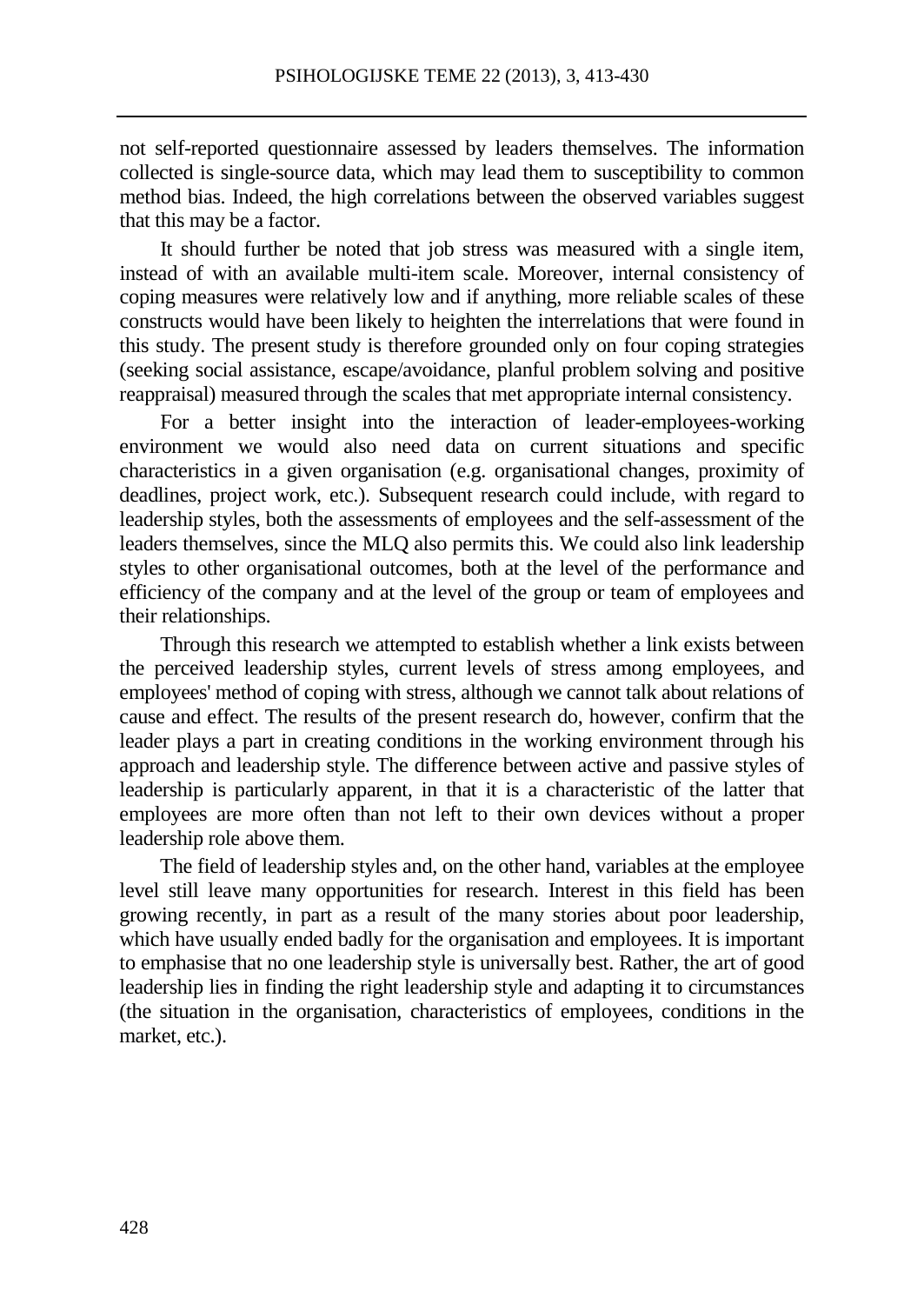not self-reported questionnaire assessed by leaders themselves. The information collected is single-source data, which may lead them to susceptibility to common method bias. Indeed, the high correlations between the observed variables suggest that this may be a factor.

It should further be noted that job stress was measured with a single item, instead of with an available multi-item scale. Moreover, internal consistency of coping measures were relatively low and if anything, more reliable scales of these constructs would have been likely to heighten the interrelations that were found in this study. The present study is therefore grounded only on four coping strategies (seeking social assistance, escape/avoidance, planful problem solving and positive reappraisal) measured through the scales that met appropriate internal consistency.

For a better insight into the interaction of leader-employees-working environment we would also need data on current situations and specific characteristics in a given organisation (e.g. organisational changes, proximity of deadlines, project work, etc.). Subsequent research could include, with regard to leadership styles, both the assessments of employees and the self-assessment of the leaders themselves, since the MLQ also permits this. We could also link leadership styles to other organisational outcomes, both at the level of the performance and efficiency of the company and at the level of the group or team of employees and their relationships.

Through this research we attempted to establish whether a link exists between the perceived leadership styles, current levels of stress among employees, and employees' method of coping with stress, although we cannot talk about relations of cause and effect. The results of the present research do, however, confirm that the leader plays a part in creating conditions in the working environment through his approach and leadership style. The difference between active and passive styles of leadership is particularly apparent, in that it is a characteristic of the latter that employees are more often than not left to their own devices without a proper leadership role above them.

The field of leadership styles and, on the other hand, variables at the employee level still leave many opportunities for research. Interest in this field has been growing recently, in part as a result of the many stories about poor leadership, which have usually ended badly for the organisation and employees. It is important to emphasise that no one leadership style is universally best. Rather, the art of good leadership lies in finding the right leadership style and adapting it to circumstances (the situation in the organisation, characteristics of employees, conditions in the market, etc.).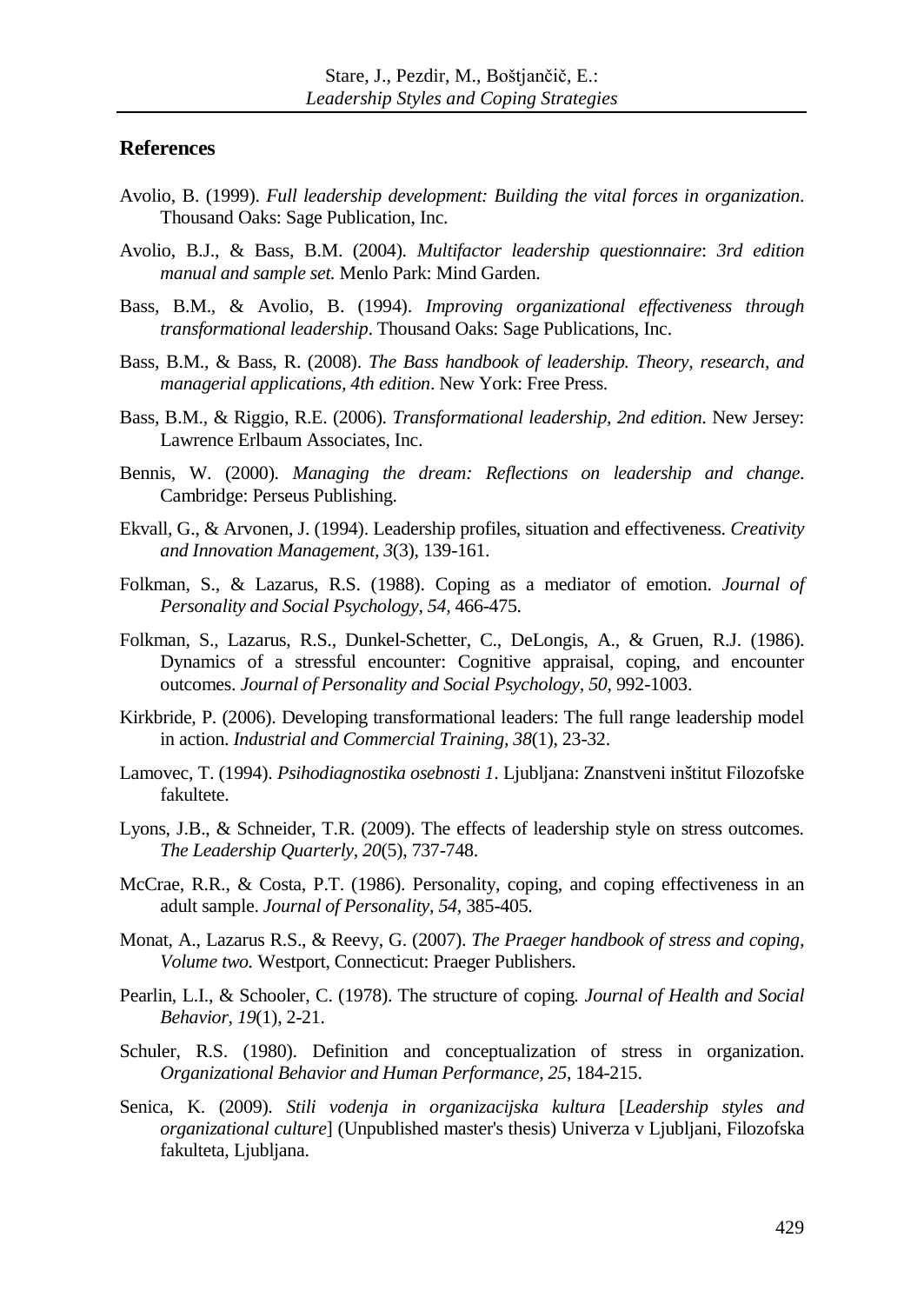#### **References**

- Avolio, B. (1999). *Full leadership development: Building the vital forces in organization*. Thousand Oaks: Sage Publication, Inc.
- Avolio, B.J., & Bass, B.M. (2004). *Multifactor leadership questionnaire*: *3rd edition manual and sample set.* Menlo Park: Mind Garden.
- Bass, B.M., & Avolio, B. (1994). *Improving organizational effectiveness through transformational leadership*. Thousand Oaks: Sage Publications, Inc.
- Bass, B.M., & Bass, R. (2008). *The Bass handbook of leadership. Theory, research, and managerial applications, 4th edition*. New York: Free Press.
- Bass, B.M., & Riggio, R.E. (2006). *Transformational leadership, 2nd edition*. New Jersey: Lawrence Erlbaum Associates, Inc.
- Bennis, W. (2000). *Managing the dream: Reflections on leadership and change*. Cambridge: Perseus Publishing.
- Ekvall, G., & Arvonen, J. (1994). Leadership profiles, situation and effectiveness. *Creativity and Innovation Management, 3*(3), 139-161.
- Folkman, S., & Lazarus, R.S. (1988). Coping as a mediator of emotion. *Journal of Personality and Social Psychology, 54,* 466-475.
- Folkman, S., Lazarus, R.S., Dunkel-Schetter, C., DeLongis, A., & Gruen, R.J. (1986). Dynamics of a stressful encounter: Cognitive appraisal, coping, and encounter outcomes. *Journal of Personality and Social Psychology, 50*, 992-1003.
- Kirkbride, P. (2006). Developing transformational leaders: The full range leadership model in action. *Industrial and Commercial Training, 38*(1), 23-32.
- Lamovec, T. (1994). *Psihodiagnostika osebnosti 1*. Ljubljana: Znanstveni inštitut Filozofske fakultete.
- Lyons, J.B., & Schneider, T.R. (2009). The effects of leadership style on stress outcomes. *The Leadership Quarterly, 20*(5), 737-748.
- McCrae, R.R., & Costa, P.T. (1986). Personality, coping, and coping effectiveness in an adult sample. *Journal of Personality, 54*, 385-405.
- Monat, A., Lazarus R.S., & Reevy, G. (2007). *The Praeger handbook of stress and coping, Volume two.* Westport, Connecticut: Praeger Publishers.
- Pearlin, L.I., & Schooler, C. (1978). The structure of coping*. Journal of Health and Social Behavior, 19*(1), 2-21.
- Schuler, R.S. (1980). Definition and conceptualization of stress in organization. *Organizational Behavior and Human Performance, 25*, 184-215.
- Senica, K. (2009). *Stili vodenja in organizacijska kultura* [*Leadership styles and organizational culture*] (Unpublished master's thesis) Univerza v Ljubljani, Filozofska fakulteta, Ljubljana.